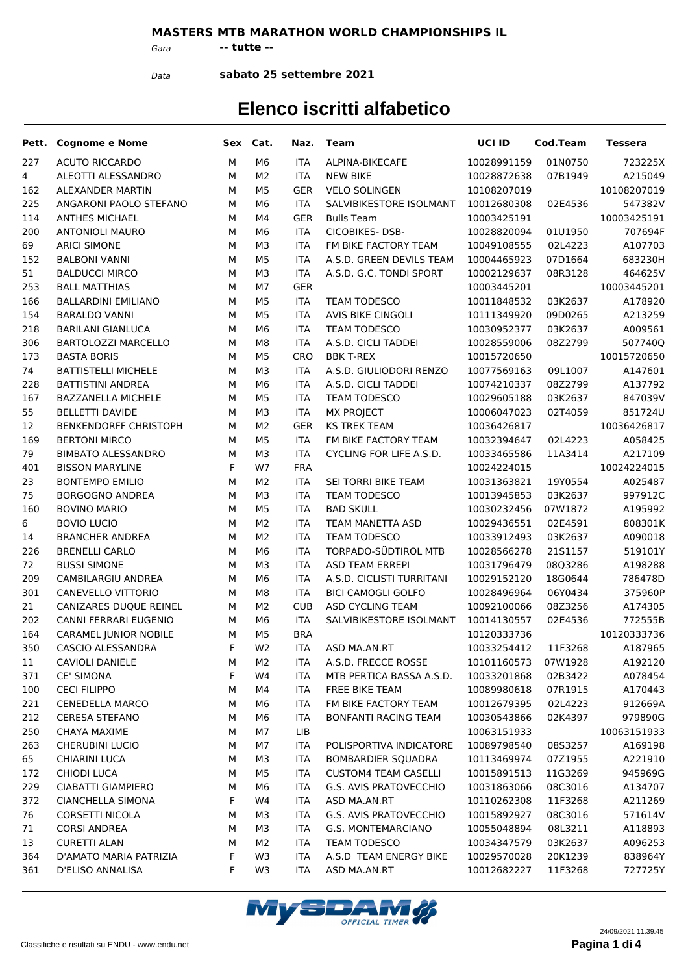#### **MASTERS MTB MARATHON WORLD CHAMPIONSHIPS IL**

*Gara* **-- tutte --**

*Data*

**sabato 25 settembre 2021**

|     | Pett. Cognome e Nome       |   | Sex Cat.       | Naz.       | Team                        | UCI ID      | Cod.Team | Tessera     |
|-----|----------------------------|---|----------------|------------|-----------------------------|-------------|----------|-------------|
| 227 | <b>ACUTO RICCARDO</b>      | М | M <sub>6</sub> | <b>ITA</b> | ALPINA-BIKECAFE             | 10028991159 | 01N0750  | 723225X     |
| 4   | ALEOTTI ALESSANDRO         | М | M <sub>2</sub> | <b>ITA</b> | <b>NEW BIKE</b>             | 10028872638 | 07B1949  | A215049     |
| 162 | ALEXANDER MARTIN           | М | M <sub>5</sub> | <b>GER</b> | <b>VELO SOLINGEN</b>        | 10108207019 |          | 10108207019 |
| 225 | ANGARONI PAOLO STEFANO     | М | M <sub>6</sub> | <b>ITA</b> | SALVIBIKESTORE ISOLMANT     | 10012680308 | 02E4536  | 547382V     |
| 114 | <b>ANTHES MICHAEL</b>      | М | M4             | <b>GER</b> | <b>Bulls Team</b>           | 10003425191 |          | 10003425191 |
| 200 | <b>ANTONIOLI MAURO</b>     | М | M6             | <b>ITA</b> | <b>CICOBIKES-DSB-</b>       | 10028820094 | 01U1950  | 707694F     |
| 69  | <b>ARICI SIMONE</b>        | М | M3             | <b>ITA</b> | FM BIKE FACTORY TEAM        | 10049108555 | 02L4223  | A107703     |
| 152 | <b>BALBONI VANNI</b>       | М | M <sub>5</sub> | <b>ITA</b> | A.S.D. GREEN DEVILS TEAM    | 10004465923 | 07D1664  | 683230H     |
| 51  | <b>BALDUCCI MIRCO</b>      | М | M3             | <b>ITA</b> | A.S.D. G.C. TONDI SPORT     | 10002129637 | 08R3128  | 464625V     |
| 253 | <b>BALL MATTHIAS</b>       | М | M7             | <b>GER</b> |                             | 10003445201 |          | 10003445201 |
| 166 | <b>BALLARDINI EMILIANO</b> | М | M <sub>5</sub> | <b>ITA</b> | TEAM TODESCO                | 10011848532 | 03K2637  | A178920     |
| 154 | <b>BARALDO VANNI</b>       | М | M <sub>5</sub> | <b>ITA</b> | <b>AVIS BIKE CINGOLI</b>    | 10111349920 | 09D0265  | A213259     |
| 218 | <b>BARILANI GIANLUCA</b>   | М | M6             | <b>ITA</b> | <b>TEAM TODESCO</b>         | 10030952377 | 03K2637  | A009561     |
| 306 | BARTOLOZZI MARCELLO        | М | M <sub>8</sub> | <b>ITA</b> | A.S.D. CICLI TADDEI         | 10028559006 | 08Z2799  | 507740Q     |
| 173 | <b>BASTA BORIS</b>         | М | M <sub>5</sub> | <b>CRO</b> | <b>BBK T-REX</b>            | 10015720650 |          | 10015720650 |
| 74  | <b>BATTISTELLI MICHELE</b> | М | M3             | <b>ITA</b> | A.S.D. GIULIODORI RENZO     | 10077569163 | 09L1007  | A147601     |
| 228 | <b>BATTISTINI ANDREA</b>   | М | M <sub>6</sub> | <b>ITA</b> | A.S.D. CICLI TADDEI         | 10074210337 | 08Z2799  | A137792     |
| 167 | BAZZANELLA MICHELE         | М | M <sub>5</sub> | <b>ITA</b> | TEAM TODESCO                | 10029605188 | 03K2637  | 847039V     |
| 55  | <b>BELLETTI DAVIDE</b>     | М | M3             | <b>ITA</b> | <b>MX PROJECT</b>           | 10006047023 | 02T4059  | 851724U     |
| 12  | BENKENDORFF CHRISTOPH      | М | M <sub>2</sub> | <b>GER</b> | <b>KS TREK TEAM</b>         | 10036426817 |          | 10036426817 |
| 169 | <b>BERTONI MIRCO</b>       | М | M <sub>5</sub> | <b>ITA</b> | FM BIKE FACTORY TEAM        | 10032394647 | 02L4223  | A058425     |
| 79  | <b>BIMBATO ALESSANDRO</b>  | М | M3             | <b>ITA</b> | CYCLING FOR LIFE A.S.D.     | 10033465586 | 11A3414  | A217109     |
| 401 | <b>BISSON MARYLINE</b>     | F | W7             | <b>FRA</b> |                             | 10024224015 |          | 10024224015 |
| 23  | <b>BONTEMPO EMILIO</b>     | М | M <sub>2</sub> | <b>ITA</b> | SEI TORRI BIKE TEAM         | 10031363821 | 19Y0554  | A025487     |
| 75  | <b>BORGOGNO ANDREA</b>     | М | M3             | <b>ITA</b> | TEAM TODESCO                | 10013945853 | 03K2637  | 997912C     |
| 160 | <b>BOVINO MARIO</b>        | М | M <sub>5</sub> | <b>ITA</b> | <b>BAD SKULL</b>            | 10030232456 | 07W1872  | A195992     |
| 6   | <b>BOVIO LUCIO</b>         | М | M <sub>2</sub> | <b>ITA</b> | TEAM MANETTA ASD            | 10029436551 | 02E4591  | 808301K     |
| 14  | <b>BRANCHER ANDREA</b>     | М | M <sub>2</sub> | <b>ITA</b> | <b>TEAM TODESCO</b>         | 10033912493 | 03K2637  | A090018     |
| 226 | <b>BRENELLI CARLO</b>      | М | M <sub>6</sub> | <b>ITA</b> | TORPADO-SÜDTIROL MTB        | 10028566278 | 21S1157  | 519101Y     |
| 72  | <b>BUSSI SIMONE</b>        | М | M3             | <b>ITA</b> | <b>ASD TEAM ERREPI</b>      | 10031796479 | 08Q3286  | A198288     |
| 209 | CAMBILARGIU ANDREA         | М | M <sub>6</sub> | <b>ITA</b> | A.S.D. CICLISTI TURRITANI   | 10029152120 | 18G0644  | 786478D     |
| 301 | CANEVELLO VITTORIO         | М | M <sub>8</sub> | <b>ITA</b> | <b>BICI CAMOGLI GOLFO</b>   | 10028496964 | 06Y0434  | 375960P     |
| 21  | CANIZARES DUQUE REINEL     | М | M <sub>2</sub> | <b>CUB</b> | ASD CYCLING TEAM            | 10092100066 | 08Z3256  | A174305     |
| 202 | CANNI FERRARI EUGENIO      | М | M6             | <b>ITA</b> | SALVIBIKESTORE ISOLMANT     | 10014130557 | 02E4536  | 772555B     |
| 164 | CARAMEL JUNIOR NOBILE      | М | M <sub>5</sub> | <b>BRA</b> |                             | 10120333736 |          | 10120333736 |
| 350 | CASCIO ALESSANDRA          | F | W <sub>2</sub> | ITA        | ASD MA.AN.RT                | 10033254412 | 11F3268  | A187965     |
| 11  | CAVIOLI DANIELE            | м | M <sub>2</sub> | ITA        | A.S.D. FRECCE ROSSE         | 10101160573 | 07W1928  | A192120     |
| 371 | <b>CE' SIMONA</b>          | F | W4             | ITA        | MTB PERTICA BASSA A.S.D.    | 10033201868 | 02B3422  | A078454     |
| 100 | <b>CECI FILIPPO</b>        | М | M4             | ITA        | FREE BIKE TEAM              | 10089980618 | 07R1915  | A170443     |
| 221 | <b>CENEDELLA MARCO</b>     | М | M6             | ITA        | FM BIKE FACTORY TEAM        | 10012679395 | 02L4223  | 912669A     |
| 212 | <b>CERESA STEFANO</b>      | М | M6             | ITA        | <b>BONFANTI RACING TEAM</b> | 10030543866 | 02K4397  | 979890G     |
| 250 | <b>CHAYA MAXIME</b>        | М | M7             | LIB.       |                             | 10063151933 |          | 10063151933 |
| 263 | <b>CHERUBINI LUCIO</b>     | М | M7             | ITA        | POLISPORTIVA INDICATORE     | 10089798540 | 08S3257  | A169198     |
| 65  | <b>CHIARINI LUCA</b>       | М | M3             | ITA        | <b>BOMBARDIER SQUADRA</b>   | 10113469974 | 07Z1955  | A221910     |
| 172 | <b>CHIODI LUCA</b>         | М | M5             | ITA        | <b>CUSTOM4 TEAM CASELLI</b> | 10015891513 | 11G3269  | 945969G     |
| 229 | CIABATTI GIAMPIERO         | М | M6             | ITA        | G.S. AVIS PRATOVECCHIO      | 10031863066 | 08C3016  | A134707     |
| 372 | <b>CIANCHELLA SIMONA</b>   | F | W4             | ITA        | ASD MA.AN.RT                | 10110262308 | 11F3268  | A211269     |
| 76  | CORSETTI NICOLA            | М | M3             | ITA        | G.S. AVIS PRATOVECCHIO      | 10015892927 | 08C3016  | 571614V     |
| 71  | <b>CORSI ANDREA</b>        | М | M3             | ITA        | G.S. MONTEMARCIANO          | 10055048894 | 08L3211  | A118893     |
| 13  | <b>CURETTI ALAN</b>        | М | M <sub>2</sub> | ITA        | TEAM TODESCO                | 10034347579 | 03K2637  | A096253     |
| 364 | D'AMATO MARIA PATRIZIA     | F | W3             | ITA        | A.S.D TEAM ENERGY BIKE      | 10029570028 | 20K1239  | 838964Y     |
| 361 | D'ELISO ANNALISA           | F | W3             | ITA.       | ASD MA.AN.RT                | 10012682227 | 11F3268  | 727725Y     |
|     |                            |   |                |            |                             |             |          |             |

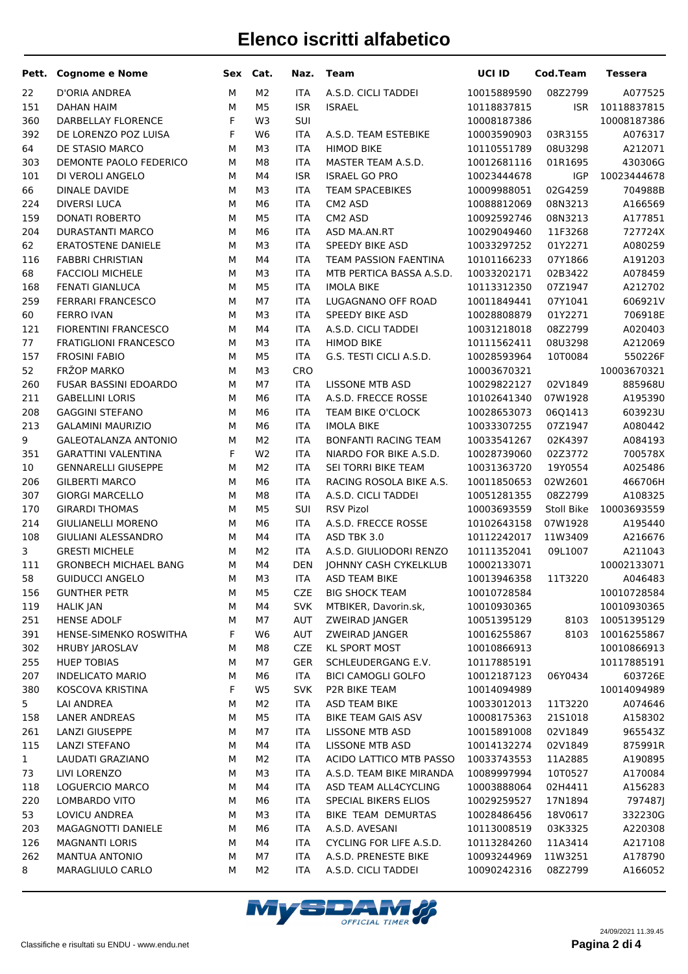| Pett.        | <b>Cognome e Nome</b>                           | Sex       | Cat.                             | Naz.                     | <b>Team</b>                                    | UCI ID                     | <b>Cod.Team</b>    | <b>Tessera</b>     |
|--------------|-------------------------------------------------|-----------|----------------------------------|--------------------------|------------------------------------------------|----------------------------|--------------------|--------------------|
| 22           | D'ORIA ANDREA                                   | M         | M <sub>2</sub>                   | <b>ITA</b>               | A.S.D. CICLI TADDEI                            | 10015889590                | 08Z2799            | A077525            |
| 151          | <b>DAHAN HAIM</b>                               | M         | M <sub>5</sub>                   | <b>ISR</b>               | <b>ISRAEL</b>                                  | 10118837815                | <b>ISR</b>         | 10118837815        |
| 360          | DARBELLAY FLORENCE                              | F         | W3                               | SUI                      |                                                | 10008187386                |                    | 10008187386        |
| 392          | DE LORENZO POZ LUISA                            | F         | W <sub>6</sub>                   | <b>ITA</b>               | A.S.D. TEAM ESTEBIKE                           | 10003590903                | 03R3155            | A076317            |
| 64           | DE STASIO MARCO                                 | M         | M <sub>3</sub>                   | <b>ITA</b>               | <b>HIMOD BIKE</b>                              | 10110551789                | 08U3298            | A212071            |
| 303          | DEMONTE PAOLO FEDERICO                          | M         | M <sub>8</sub>                   | <b>ITA</b>               | MASTER TEAM A.S.D.                             | 10012681116                | 01R1695            | 430306G            |
| 101          | DI VEROLI ANGELO                                | M         | M4                               | <b>ISR</b>               | <b>ISRAEL GO PRO</b>                           | 10023444678                | <b>IGP</b>         | 10023444678        |
| 66           | <b>DINALE DAVIDE</b>                            | M         | M <sub>3</sub>                   | <b>ITA</b>               | <b>TEAM SPACEBIKES</b>                         | 10009988051                | 02G4259            | 704988B            |
| 224          | <b>DIVERSI LUCA</b>                             | M         | M <sub>6</sub>                   | <b>ITA</b>               | CM2 ASD                                        | 10088812069                | 08N3213            | A166569            |
| 159          | DONATI ROBERTO                                  | M         | M <sub>5</sub>                   | <b>ITA</b>               | CM2 ASD                                        | 10092592746                | 08N3213            | A177851            |
| 204          | <b>DURASTANTI MARCO</b>                         | M         | M <sub>6</sub>                   | <b>ITA</b>               | ASD MA.AN.RT                                   | 10029049460                | 11F3268            | 727724X            |
| 62           | <b>ERATOSTENE DANIELE</b>                       | M         | M <sub>3</sub>                   | <b>ITA</b>               | SPEEDY BIKE ASD                                | 10033297252                | 01Y2271            | A080259            |
| 116          | <b>FABBRI CHRISTIAN</b>                         | M         | M4                               | <b>ITA</b>               | TEAM PASSION FAENTINA                          | 10101166233                | 07Y1866            | A191203            |
| 68           | <b>FACCIOLI MICHELE</b>                         | M         | M <sub>3</sub>                   | <b>ITA</b>               | MTB PERTICA BASSA A.S.D.                       | 10033202171                | 02B3422            | A078459            |
| 168          | FENATI GIANLUCA                                 | M         | M <sub>5</sub>                   | <b>ITA</b>               | <b>IMOLA BIKE</b>                              | 10113312350                | 07Z1947            | A212702            |
| 259          | <b>FERRARI FRANCESCO</b>                        | M         | M7                               | <b>ITA</b>               | LUGAGNANO OFF ROAD                             | 10011849441                | 07Y1041            | 606921V            |
| 60           | <b>FERRO IVAN</b>                               | M         | M <sub>3</sub>                   | <b>ITA</b>               | SPEEDY BIKE ASD                                | 10028808879                | 01Y2271            | 706918E            |
| 121          | <b>FIORENTINI FRANCESCO</b>                     | M         | M4                               | <b>ITA</b>               | A.S.D. CICLI TADDEI                            | 10031218018                | 08Z2799            | A020403            |
| 77           | <b>FRATIGLIONI FRANCESCO</b>                    | M         | M <sub>3</sub>                   | <b>ITA</b>               | <b>HIMOD BIKE</b>                              | 10111562411                | 08U3298            | A212069            |
| 157          | <b>FROSINI FABIO</b>                            | M         | M <sub>5</sub>                   | <b>ITA</b>               | G.S. TESTI CICLI A.S.D.                        | 10028593964                | 10T0084            | 550226F            |
| 52           | FRŽOP MARKO                                     | M         | M <sub>3</sub>                   | <b>CRO</b>               |                                                | 10003670321                |                    | 10003670321        |
| 260          | <b>FUSAR BASSINI EDOARDO</b>                    | M         | M7                               | <b>ITA</b>               | <b>LISSONE MTB ASD</b>                         | 10029822127                | 02V1849            | 885968U            |
| 211          | <b>GABELLINI LORIS</b>                          | M         | M <sub>6</sub>                   | <b>ITA</b>               | A.S.D. FRECCE ROSSE                            | 10102641340                | 07W1928            | A195390            |
| 208          | <b>GAGGINI STEFANO</b>                          | M         | M <sub>6</sub>                   | <b>ITA</b>               | TEAM BIKE O'CLOCK                              | 10028653073                | 06Q1413            | 603923U            |
| 213          | <b>GALAMINI MAURIZIO</b>                        | M         | M <sub>6</sub>                   | <b>ITA</b>               | <b>IMOLA BIKE</b>                              | 10033307255                | 07Z1947            | A080442            |
| 9            | <b>GALEOTALANZA ANTONIO</b>                     | M         | M <sub>2</sub>                   | <b>ITA</b>               | BONFANTI RACING TEAM                           | 10033541267                | 02K4397            | A084193            |
| 351          | <b>GARATTINI VALENTINA</b>                      | F         | W <sub>2</sub>                   | <b>ITA</b>               | NIARDO FOR BIKE A.S.D.                         | 10028739060                | 02Z3772            | 700578X            |
| 10           | <b>GENNARELLI GIUSEPPE</b>                      | M<br>M    | M <sub>2</sub><br>M <sub>6</sub> | <b>ITA</b><br><b>ITA</b> | SEI TORRI BIKE TEAM<br>RACING ROSOLA BIKE A.S. | 10031363720                | 19Y0554            | A025486            |
| 206<br>307   | <b>GILBERTI MARCO</b><br><b>GIORGI MARCELLO</b> | M         | M <sub>8</sub>                   | <b>ITA</b>               | A.S.D. CICLI TADDEI                            | 10011850653<br>10051281355 | 02W2601<br>08Z2799 | 466706H<br>A108325 |
| 170          | <b>GIRARDI THOMAS</b>                           | M         | M <sub>5</sub>                   | SUI                      | <b>RSV Pizol</b>                               | 10003693559                | Stoll Bike         | 10003693559        |
| 214          | <b>GIULIANELLI MORENO</b>                       | M         | M <sub>6</sub>                   | <b>ITA</b>               | A.S.D. FRECCE ROSSE                            | 10102643158                | 07W1928            | A195440            |
| 108          | GIULIANI ALESSANDRO                             | M         | M4                               | <b>ITA</b>               | ASD TBK 3.0                                    | 10112242017                | 11W3409            | A216676            |
| 3            | <b>GRESTI MICHELE</b>                           | M         | M <sub>2</sub>                   | <b>ITA</b>               | A.S.D. GIULIODORI RENZO                        | 10111352041                | 09L1007            | A211043            |
| 111          | <b>GRONBECH MICHAEL BANG</b>                    | M         | M4                               | <b>DEN</b>               | <b>JOHNNY CASH CYKELKLUB</b>                   | 10002133071                |                    | 10002133071        |
| 58           | <b>GUIDUCCI ANGELO</b>                          | M         | M <sub>3</sub>                   | <b>ITA</b>               | <b>ASD TEAM BIKE</b>                           | 10013946358                | 11T3220            | A046483            |
| 156          | <b>GUNTHER PETR</b>                             | M         | M <sub>5</sub>                   | <b>CZE</b>               | <b>BIG SHOCK TEAM</b>                          | 10010728584                |                    | 10010728584        |
| 119          | <b>HALIK JAN</b>                                | M         | M4                               | <b>SVK</b>               | MTBIKER, Davorin.sk,                           | 10010930365                |                    | 10010930365        |
| 251          | <b>HENSE ADOLF</b>                              | M         | M7                               | AUT                      | ZWEIRAD JANGER                                 | 10051395129                | 8103               | 10051395129        |
| 391          | HENSE-SIMENKO ROSWITHA                          | F         | W <sub>6</sub>                   | <b>AUT</b>               | ZWEIRAD JANGER                                 | 10016255867                | 8103               | 10016255867        |
| 302          | <b>HRUBY JAROSLAV</b>                           | M         | M8                               | CZE                      | <b>KL SPORT MOST</b>                           | 10010866913                |                    | 10010866913        |
| 255          | <b>HUEP TOBIAS</b>                              | M         | M7                               | <b>GER</b>               | SCHLEUDERGANG E.V.                             | 10117885191                |                    | 10117885191        |
| 207          | <b>INDELICATO MARIO</b>                         | ${\sf M}$ | M6                               | <b>ITA</b>               | <b>BICI CAMOGLI GOLFO</b>                      | 10012187123                | 06Y0434            | 603726E            |
| 380          | KOSCOVA KRISTINA                                | F         | W <sub>5</sub>                   | <b>SVK</b>               | P2R BIKE TEAM                                  | 10014094989                |                    | 10014094989        |
| 5            | LAI ANDREA                                      | М         | M2                               | <b>ITA</b>               | ASD TEAM BIKE                                  | 10033012013                | 11T3220            | A074646            |
| 158          | <b>LANER ANDREAS</b>                            | М         | M <sub>5</sub>                   | <b>ITA</b>               | BIKE TEAM GAIS ASV                             | 10008175363                | 2151018            | A158302            |
| 261          | <b>LANZI GIUSEPPE</b>                           | М         | M7                               | <b>ITA</b>               | LISSONE MTB ASD                                | 10015891008                | 02V1849            | 965543Z            |
| 115          | <b>LANZI STEFANO</b>                            | М         | M4                               | <b>ITA</b>               | LISSONE MTB ASD                                | 10014132274                | 02V1849            | 875991R            |
| $\mathbf{1}$ | LAUDATI GRAZIANO                                | М         | M <sub>2</sub>                   | <b>ITA</b>               | ACIDO LATTICO MTB PASSO                        | 10033743553                | 11A2885            | A190895            |
| 73           | LIVI LORENZO                                    | М         | M <sub>3</sub>                   | <b>ITA</b>               | A.S.D. TEAM BIKE MIRANDA                       | 10089997994                | 10T0527            | A170084            |
| 118          | LOGUERCIO MARCO                                 | М         | M4                               | <b>ITA</b>               | ASD TEAM ALL4CYCLING                           | 10003888064                | 02H4411            | A156283            |
| 220          | LOMBARDO VITO                                   | М         | M6                               | <b>ITA</b>               | SPECIAL BIKERS ELIOS                           | 10029259527                | 17N1894            | 797487J            |
| 53           | LOVICU ANDREA                                   | М         | M3                               | <b>ITA</b>               | BIKE TEAM DEMURTAS                             | 10028486456                | 18V0617            | 332230G            |
| 203          | MAGAGNOTTI DANIELE                              | М         | M6                               | <b>ITA</b>               | A.S.D. AVESANI                                 | 10113008519                | 03K3325            | A220308            |
| 126          | <b>MAGNANTI LORIS</b>                           | М         | M4                               | <b>ITA</b>               | CYCLING FOR LIFE A.S.D.                        | 10113284260                | 11A3414            | A217108            |
| 262          | MANTUA ANTONIO                                  | М         | M7                               | <b>ITA</b>               | A.S.D. PRENESTE BIKE                           | 10093244969                | 11W3251            | A178790            |
| 8            | MARAGLIULO CARLO                                | М         | M2                               | <b>ITA</b>               | A.S.D. CICLI TADDEI                            | 10090242316                | 08Z2799            | A166052            |

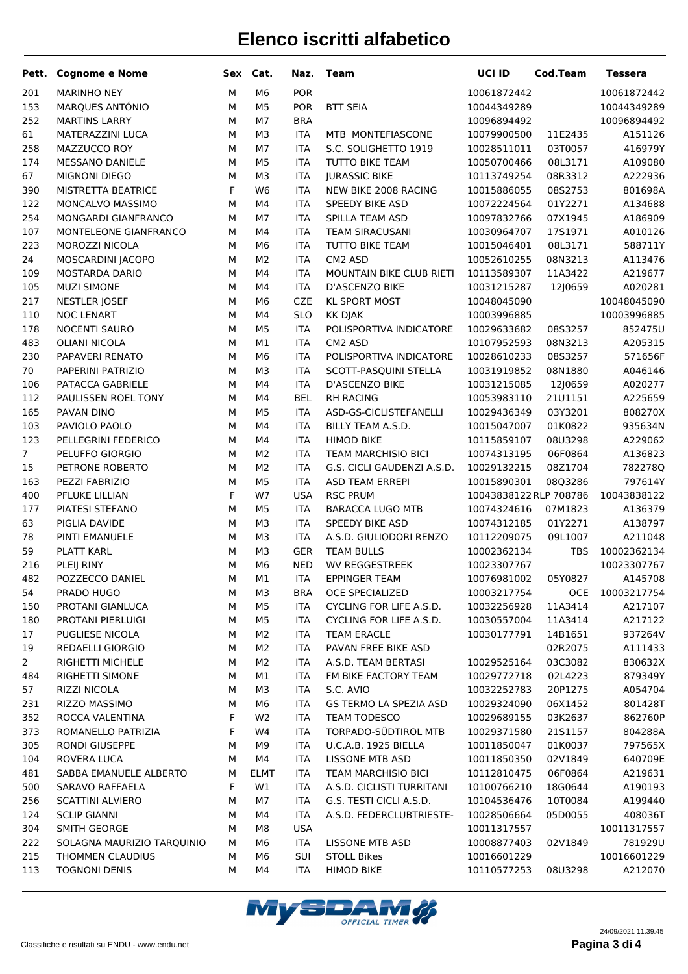|                | Pett. Cognome e Nome           |        | Sex Cat.             | Naz.              | Team                                       | UCI ID                     | Cod.Team              | <b>Tessera</b>         |
|----------------|--------------------------------|--------|----------------------|-------------------|--------------------------------------------|----------------------------|-----------------------|------------------------|
| 201            | <b>MARINHO NEY</b>             | M      | M <sub>6</sub>       | POR               |                                            | 10061872442                |                       | 10061872442            |
| 153            | MARQUES ANTÓNIO                | M      | M <sub>5</sub>       | <b>POR</b>        | <b>BTT SEIA</b>                            | 10044349289                |                       | 10044349289            |
| 252            | <b>MARTINS LARRY</b>           | M      | M7                   | <b>BRA</b>        |                                            | 10096894492                |                       | 10096894492            |
| 61             | MATERAZZINI LUCA               | M      | M <sub>3</sub>       | <b>ITA</b>        | MTB MONTEFIASCONE                          | 10079900500                | 11E2435               | A151126                |
| 258            | MAZZUCCO ROY                   | M      | M7                   | <b>ITA</b>        | S.C. SOLIGHETTO 1919                       | 10028511011                | 03T0057               | 416979Y                |
| 174            | MESSANO DANIELE                | M      | M <sub>5</sub>       | ITA               | TUTTO BIKE TEAM                            | 10050700466                | 08L3171               | A109080                |
| 67             | <b>MIGNONI DIEGO</b>           | M      | M <sub>3</sub>       | <b>ITA</b>        | <b>JURASSIC BIKE</b>                       | 10113749254                | 08R3312               | A222936                |
| 390            | MISTRETTA BEATRICE             | F      | W <sub>6</sub>       | <b>ITA</b>        | NEW BIKE 2008 RACING                       | 10015886055                | 08S2753               | 801698A                |
| 122            | MONCALVO MASSIMO               | M      | M4                   | <b>ITA</b>        | SPEEDY BIKE ASD                            | 10072224564                | 01Y2271               | A134688                |
| 254            | MONGARDI GIANFRANCO            | M      | M7                   | <b>ITA</b>        | SPILLA TEAM ASD                            | 10097832766                | 07X1945               | A186909                |
| 107            | MONTELEONE GIANFRANCO          | M      | M4                   | <b>ITA</b>        | <b>TEAM SIRACUSANI</b>                     | 10030964707                | 1751971               | A010126                |
| 223            | MOROZZI NICOLA                 | M      | M <sub>6</sub>       | <b>ITA</b>        | TUTTO BIKE TEAM                            | 10015046401                | 08L3171               | 588711Y                |
| 24             | MOSCARDINI JACOPO              | M      | M <sub>2</sub>       | <b>ITA</b>        | CM2 ASD                                    | 10052610255                | 08N3213               | A113476                |
| 109            | <b>MOSTARDA DARIO</b>          | M      | M4                   | <b>ITA</b>        | MOUNTAIN BIKE CLUB RIETI                   | 10113589307                | 11A3422               | A219677                |
| 105            | <b>MUZI SIMONE</b>             | M      | M4                   | <b>ITA</b>        | D'ASCENZO BIKE                             | 10031215287                | 12J0659               | A020281                |
| 217            | <b>NESTLER JOSEF</b>           | M      | M <sub>6</sub>       | <b>CZE</b>        | <b>KL SPORT MOST</b>                       | 10048045090                |                       | 10048045090            |
| 110            | <b>NOC LENART</b>              | M      | M4                   | <b>SLO</b>        | KK DJAK                                    | 10003996885                |                       | 10003996885            |
| 178            | NOCENTI SAURO                  | M      | M <sub>5</sub>       | <b>ITA</b>        | POLISPORTIVA INDICATORE                    | 10029633682                | 08S3257               | 852475U                |
| 483            | <b>OLIANI NICOLA</b>           | M      | M1                   | <b>ITA</b>        | CM2 ASD                                    | 10107952593                | 08N3213               | A205315                |
| 230            | PAPAVERI RENATO                | M      | M <sub>6</sub>       | <b>ITA</b>        | POLISPORTIVA INDICATORE                    | 10028610233                | 08S3257               | 571656F                |
| 70             | PAPERINI PATRIZIO              | M      | M <sub>3</sub>       | <b>ITA</b>        | SCOTT-PASQUINI STELLA                      | 10031919852                | 08N1880               | A046146                |
| 106            | PATACCA GABRIELE               | M      | M4                   | <b>ITA</b>        | D'ASCENZO BIKE                             | 10031215085                | 12J0659               | A020277                |
| 112            | PAULISSEN ROEL TONY            | M      | M4                   | <b>BEL</b>        | <b>RH RACING</b>                           | 10053983110                | 21U1151               | A225659                |
| 165            | PAVAN DINO                     | M      | M <sub>5</sub>       | <b>ITA</b>        | ASD-GS-CICLISTEFANELLI                     | 10029436349                | 03Y3201               | 808270X                |
| 103            | PAVIOLO PAOLO                  | M      | M4                   | <b>ITA</b>        | BILLY TEAM A.S.D.                          | 10015047007                | 01K0822               | 935634N                |
| 123            | PELLEGRINI FEDERICO            | M      | M4                   | <b>ITA</b>        | <b>HIMOD BIKE</b>                          | 10115859107                | 08U3298               | A229062                |
| 7 <sup>7</sup> | PELUFFO GIORGIO                | M      | M <sub>2</sub>       | <b>ITA</b>        | TEAM MARCHISIO BICI                        | 10074313195                | 06F0864               | A136823                |
| 15             | PETRONE ROBERTO                | M      | M <sub>2</sub>       | ITA               | G.S. CICLI GAUDENZI A.S.D.                 | 10029132215                | 08Z1704               | 782278Q                |
| 163            | PEZZI FABRIZIO                 | M      | M <sub>5</sub>       | <b>ITA</b>        | <b>ASD TEAM ERREPI</b>                     | 10015890301                | 08Q3286               | 797614Y                |
| 400            | PFLUKE LILLIAN                 | F      | W7                   | <b>USA</b>        | <b>RSC PRUM</b>                            | 10043838122 RLP 708786     |                       | 10043838122            |
| 177            | PIATESI STEFANO                | M      | M <sub>5</sub>       | <b>ITA</b>        | <b>BARACCA LUGO MTB</b>                    | 10074324616                | 07M1823               | A136379                |
| 63             | PIGLIA DAVIDE                  | M      | M <sub>3</sub>       | <b>ITA</b>        | <b>SPEEDY BIKE ASD</b>                     | 10074312185                | 01Y2271               | A138797                |
| 78             | PINTI EMANUELE                 | M      | M <sub>3</sub>       | <b>ITA</b>        | A.S.D. GIULIODORI RENZO                    | 10112209075                | 09L1007               | A211048                |
| 59             | <b>PLATT KARL</b>              | M      | M <sub>3</sub>       | <b>GER</b>        | <b>TEAM BULLS</b>                          | 10002362134                | <b>TBS</b>            | 10002362134            |
| 216            | PLEIJ RINY                     | M<br>M | M <sub>6</sub><br>M1 | <b>NED</b>        | <b>WV REGGESTREEK</b>                      | 10023307767                |                       | 10023307767            |
| 482            | POZZECCO DANIEL                | M      |                      | <b>ITA</b>        | EPPINGER TEAM                              | 10076981002                | 05Y0827<br><b>OCE</b> | A145708<br>10003217754 |
| 54<br>150      | PRADO HUGO<br>PROTANI GIANLUCA | M      | MЗ<br>M <sub>5</sub> | BRA<br><b>ITA</b> | OCE SPECIALIZED<br>CYCLING FOR LIFE A.S.D. | 10003217754<br>10032256928 | 11A3414               | A217107                |
| 180            | PROTANI PIERLUIGI              | M      | M <sub>5</sub>       | <b>ITA</b>        | CYCLING FOR LIFE A.S.D.                    | 10030557004                | 11A3414               | A217122                |
| 17             | PUGLIESE NICOLA                | M      | M2                   | <b>ITA</b>        | <b>TEAM ERACLE</b>                         | 10030177791                | 14B1651               | 937264V                |
| 19             | <b>REDAELLI GIORGIO</b>        | M      | M <sub>2</sub>       | <b>ITA</b>        | PAVAN FREE BIKE ASD                        |                            | 02R2075               | A111433                |
| $\overline{2}$ | RIGHETTI MICHELE               | M      | M2                   | <b>ITA</b>        | A.S.D. TEAM BERTASI                        | 10029525164                | 03C3082               | 830632X                |
| 484            | RIGHETTI SIMONE                | M      | M1                   | <b>ITA</b>        | FM BIKE FACTORY TEAM                       | 10029772718                | 02L4223               | 879349Y                |
| 57             | RIZZI NICOLA                   | M      | M3                   | <b>ITA</b>        | S.C. AVIO                                  | 10032252783                | 20P1275               | A054704                |
| 231            | RIZZO MASSIMO                  | M      | M6                   | <b>ITA</b>        | GS TERMO LA SPEZIA ASD                     | 10029324090                | 06X1452               | 801428T                |
| 352            | ROCCA VALENTINA                | F      | W <sub>2</sub>       | <b>ITA</b>        | TEAM TODESCO                               | 10029689155                | 03K2637               | 862760P                |
| 373            | ROMANELLO PATRIZIA             | F      | W4                   | <b>ITA</b>        | TORPADO-SÜDTIROL MTB                       | 10029371580                | 2151157               | 804288A                |
| 305            | RONDI GIUSEPPE                 | M      | M9                   | <b>ITA</b>        | U.C.A.B. 1925 BIELLA                       | 10011850047                | 01K0037               | 797565X                |
| 104            | ROVERA LUCA                    | M      | M4                   | <b>ITA</b>        | LISSONE MTB ASD                            | 10011850350                | 02V1849               | 640709E                |
| 481            | SABBA EMANUELE ALBERTO         | M      | <b>ELMT</b>          | <b>ITA</b>        | <b>TEAM MARCHISIO BICI</b>                 | 10112810475                | 06F0864               | A219631                |
| 500            | SARAVO RAFFAELA                | F      | W1                   | <b>ITA</b>        | A.S.D. CICLISTI TURRITANI                  | 10100766210                | 18G0644               | A190193                |
| 256            | <b>SCATTINI ALVIERO</b>        | M      | M7                   | <b>ITA</b>        | G.S. TESTI CICLI A.S.D.                    | 10104536476                | 10T0084               | A199440                |
| 124            | <b>SCLIP GIANNI</b>            | M      | M4                   | <b>ITA</b>        | A.S.D. FEDERCLUBTRIESTE-                   | 10028506664                | 05D0055               | 408036T                |
| 304            | SMITH GEORGE                   | M      | M8                   | <b>USA</b>        |                                            | 10011317557                |                       | 10011317557            |
| 222            | SOLAGNA MAURIZIO TARQUINIO     | М      | M6                   | <b>ITA</b>        | <b>LISSONE MTB ASD</b>                     | 10008877403                | 02V1849               | 781929U                |
| 215            | THOMMEN CLAUDIUS               | М      | M <sub>6</sub>       | SUI               | <b>STOLL Bikes</b>                         | 10016601229                |                       | 10016601229            |
| 113            | <b>TOGNONI DENIS</b>           | М      | M4                   | <b>ITA</b>        | <b>HIMOD BIKE</b>                          | 10110577253                | 08U3298               | A212070                |